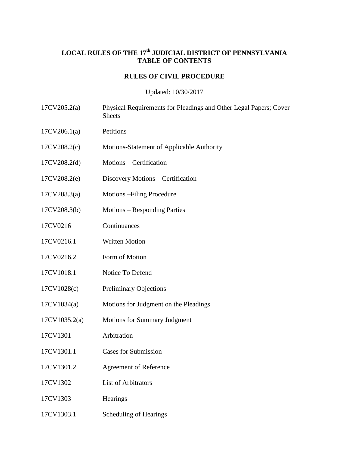# **LOCAL RULES OF THE 17th JUDICIAL DISTRICT OF PENNSYLVANIA TABLE OF CONTENTS**

## **RULES OF CIVIL PROCEDURE**

### Updated: 10/30/2017

- 17CV205.2(a) Physical Requirements for Pleadings and Other Legal Papers; Cover **Sheets**
- 17CV206.1(a) Petitions
- 17CV208.2(c) Motions-Statement of Applicable Authority
- 17CV208.2(d) Motions Certification
- 17CV208.2(e) Discovery Motions Certification
- 17CV208.3(a) Motions –Filing Procedure
- 17CV208.3(b) Motions Responding Parties
- 17CV0216 Continuances
- 17CV0216.1 Written Motion
- 17CV0216.2 Form of Motion
- 17CV1018.1 Notice To Defend
- 17CV1028(c) Preliminary Objections
- 17CV1034(a) Motions for Judgment on the Pleadings
- 17CV1035.2(a) Motions for Summary Judgment
- 17CV1301 Arbitration
- 17CV1301.1 Cases for Submission
- 17CV1301.2 Agreement of Reference
- 17CV1302 List of Arbitrators
- 17CV1303 Hearings
- 17CV1303.1 Scheduling of Hearings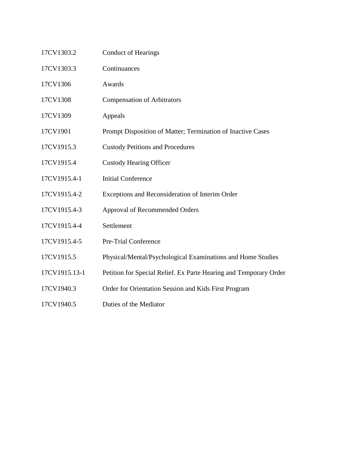17CV1303.2 Conduct of Hearings 17CV1303.3 Continuances 17CV1306 Awards 17CV1308 Compensation of Arbitrators 17CV1309 Appeals 17CV1901 Prompt Disposition of Matter; Termination of Inactive Cases 17CV1915.3 Custody Petitions and Procedures 17CV1915.4 Custody Hearing Officer 17CV1915.4-1 Initial Conference 17CV1915.4-2 Exceptions and Reconsideration of Interim Order 17CV1915.4-3 Approval of Recommended Orders 17CV1915.4-4 Settlement 17CV1915.4-5 Pre-Trial Conference 17CV1915.5 Physical/Mental/Psychological Examinations and Home Studies 17CV1915.13-1 Petition for Special Relief. Ex Parte Hearing and Temporary Order 17CV1940.3 Order for Orientation Session and Kids First Program 17CV1940.5 Duties of the Mediator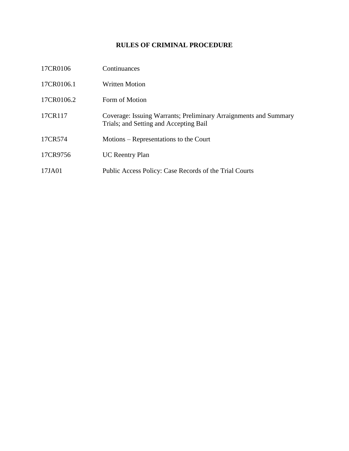# **RULES OF CRIMINAL PROCEDURE**

| 17CR0106   | Continuances                                                                                               |
|------------|------------------------------------------------------------------------------------------------------------|
| 17CR0106.1 | Written Motion                                                                                             |
| 17CR0106.2 | Form of Motion                                                                                             |
| 17CR117    | Coverage: Issuing Warrants; Preliminary Arraignments and Summary<br>Trials; and Setting and Accepting Bail |
| 17CR574    | Motions – Representations to the Court                                                                     |
| 17CR9756   | <b>UC</b> Reentry Plan                                                                                     |
| 17JA01     | Public Access Policy: Case Records of the Trial Courts                                                     |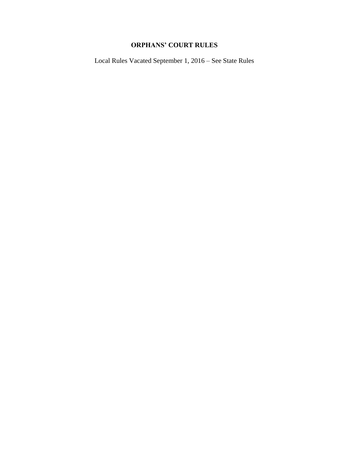# **ORPHANS' COURT RULES**

Local Rules Vacated September 1, 2016 – See State Rules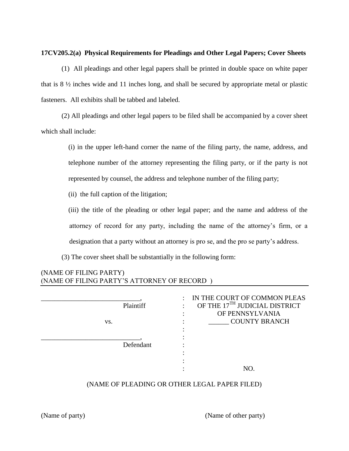## **17CV205.2(a) Physical Requirements for Pleadings and Other Legal Papers; Cover Sheets**

(1) All pleadings and other legal papers shall be printed in double space on white paper that is 8 ½ inches wide and 11 inches long, and shall be secured by appropriate metal or plastic fasteners. All exhibits shall be tabbed and labeled.

(2) All pleadings and other legal papers to be filed shall be accompanied by a cover sheet which shall include:

> (i) in the upper left-hand corner the name of the filing party, the name, address, and telephone number of the attorney representing the filing party, or if the party is not represented by counsel, the address and telephone number of the filing party;

(ii) the full caption of the litigation;

(iii) the title of the pleading or other legal paper; and the name and address of the attorney of record for any party, including the name of the attorney's firm, or a designation that a party without an attorney is pro se, and the pro se party's address.

(3) The cover sheet shall be substantially in the following form:

# (NAME OF FILING PARTY) (NAME OF FILING PARTY'S ATTORNEY OF RECORD )

|           | IN THE COURT OF COMMON PLEAS  |
|-----------|-------------------------------|
| Plaintiff | OF THE 17TH JUDICIAL DISTRICT |
|           | OF PENNSYLVANIA               |
| VS.       | <b>COUNTY BRANCH</b>          |
|           |                               |
|           |                               |
| Defendant |                               |
|           |                               |
|           |                               |
|           | NO.                           |
|           |                               |

# (NAME OF PLEADING OR OTHER LEGAL PAPER FILED)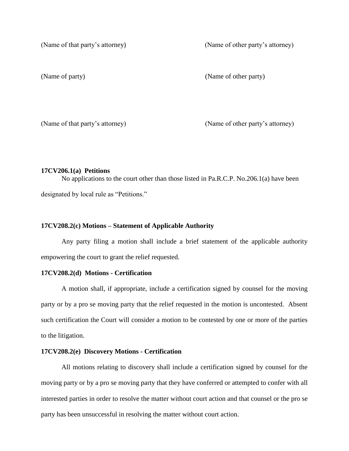(Name of that party's attorney) (Name of other party's attorney)

(Name of party) (Name of other party)

(Name of that party's attorney) (Name of other party's attorney)

## **17CV206.1(a) Petitions**

No applications to the court other than those listed in Pa.R.C.P. No.206.1(a) have been designated by local rule as "Petitions."

## **17CV208.2(c) Motions – Statement of Applicable Authority**

Any party filing a motion shall include a brief statement of the applicable authority empowering the court to grant the relief requested.

# **17CV208.2(d) Motions - Certification**

A motion shall, if appropriate, include a certification signed by counsel for the moving party or by a pro se moving party that the relief requested in the motion is uncontested. Absent such certification the Court will consider a motion to be contested by one or more of the parties to the litigation.

## **17CV208.2(e) Discovery Motions - Certification**

All motions relating to discovery shall include a certification signed by counsel for the moving party or by a pro se moving party that they have conferred or attempted to confer with all interested parties in order to resolve the matter without court action and that counsel or the pro se party has been unsuccessful in resolving the matter without court action.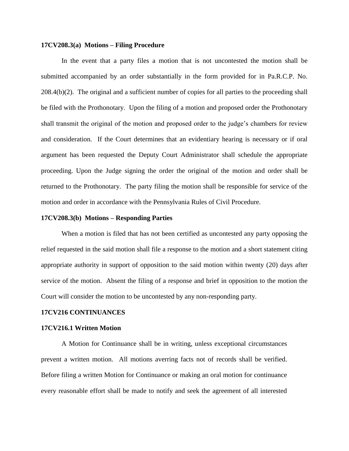#### **17CV208.3(a) Motions – Filing Procedure**

In the event that a party files a motion that is not uncontested the motion shall be submitted accompanied by an order substantially in the form provided for in Pa.R.C.P. No. 208.4(b)(2). The original and a sufficient number of copies for all parties to the proceeding shall be filed with the Prothonotary. Upon the filing of a motion and proposed order the Prothonotary shall transmit the original of the motion and proposed order to the judge's chambers for review and consideration. If the Court determines that an evidentiary hearing is necessary or if oral argument has been requested the Deputy Court Administrator shall schedule the appropriate proceeding. Upon the Judge signing the order the original of the motion and order shall be returned to the Prothonotary. The party filing the motion shall be responsible for service of the motion and order in accordance with the Pennsylvania Rules of Civil Procedure.

#### **17CV208.3(b) Motions – Responding Parties**

When a motion is filed that has not been certified as uncontested any party opposing the relief requested in the said motion shall file a response to the motion and a short statement citing appropriate authority in support of opposition to the said motion within twenty (20) days after service of the motion. Absent the filing of a response and brief in opposition to the motion the Court will consider the motion to be uncontested by any non-responding party.

### **17CV216 CONTINUANCES**

#### **17CV216.1 Written Motion**

A Motion for Continuance shall be in writing, unless exceptional circumstances prevent a written motion. All motions averring facts not of records shall be verified. Before filing a written Motion for Continuance or making an oral motion for continuance every reasonable effort shall be made to notify and seek the agreement of all interested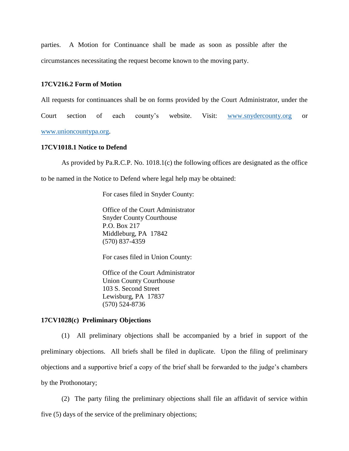parties. A Motion for Continuance shall be made as soon as possible after the circumstances necessitating the request become known to the moving party.

## **17CV216.2 Form of Motion**

All requests for continuances shall be on forms provided by the Court Administrator, under the

Court section of each county's website. Visit: [www.snydercounty.org](http://www.snydercounty.org/) or [www.unioncountypa.org.](http://www.unioncountypa.org/)

### **17CV1018.1 Notice to Defend**

As provided by Pa.R.C.P. No. 1018.1(c) the following offices are designated as the office

to be named in the Notice to Defend where legal help may be obtained:

For cases filed in Snyder County:

Office of the Court Administrator Snyder County Courthouse P.O. Box 217 Middleburg, PA 17842 (570) 837-4359

For cases filed in Union County:

Office of the Court Administrator Union County Courthouse 103 S. Second Street Lewisburg, PA 17837 (570) 524-8736

#### **17CV1028(c) Preliminary Objections**

(1)All preliminary objections shall be accompanied by a brief in support of the preliminary objections. All briefs shall be filed in duplicate. Upon the filing of preliminary objections and a supportive brief a copy of the brief shall be forwarded to the judge's chambers by the Prothonotary;

(2)The party filing the preliminary objections shall file an affidavit of service within five (5) days of the service of the preliminary objections;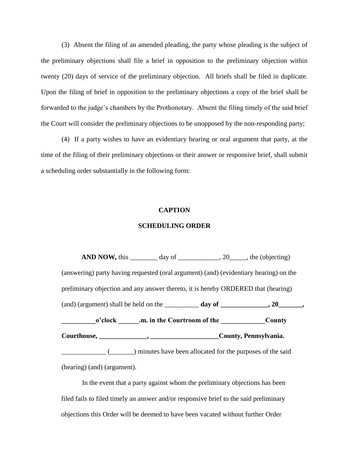(3)Absent the filing of an amended pleading, the party whose pleading is the subject of the preliminary objections shall file a brief in opposition to the preliminary objection within twenty (20) days of service of the preliminary objection. All briefs shall be filed in duplicate. Upon the filing of brief in opposition to the preliminary objections a copy of the brief shall be forwarded to the judge's chambers by the Prothonotary. Absent the filing timely of the said brief the Court will consider the preliminary objections to be unopposed by the non-responding party;

(4)If a party wishes to have an evidentiary hearing or oral argument that party, at the time of the filing of their preliminary objections or their answer or responsive brief, shall submit a scheduling order substantially in the following form:

#### **CAPTION**

### **SCHEDULING ORDER**

|                                                                                               | $AND\, Now, this down day of down, 20 down, the (objecting)$ |        |
|-----------------------------------------------------------------------------------------------|--------------------------------------------------------------|--------|
| (answering) party having requested (oral argument) (and) (evidentiary hearing) on the         |                                                              |        |
| preliminary objection and any answer thereto, it is hereby ORDERED that (hearing)             |                                                              |        |
| $\alpha$ (and) (argument) shall be held on the ___________ day of ______________, 20________, |                                                              |        |
|                                                                                               |                                                              | County |
|                                                                                               |                                                              |        |
| (2008) minutes have been allocated for the purposes of the said                               |                                                              |        |
| (hearing) (and) (argument).                                                                   |                                                              |        |

In the event that a party against whom the preliminary objections has been filed fails to filed timely an answer and/or responsive brief to the said preliminary objections this Order will be deemed to have been vacated without further Order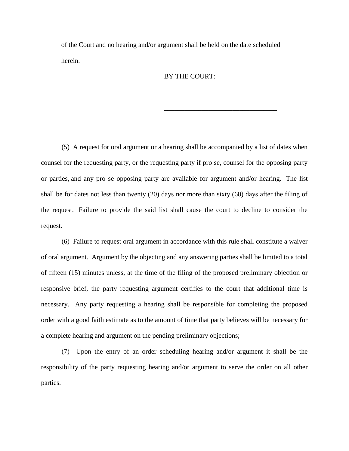of the Court and no hearing and/or argument shall be held on the date scheduled herein.

## BY THE COURT:

\_\_\_\_\_\_\_\_\_\_\_\_\_\_\_\_\_\_\_\_\_\_\_\_\_\_\_\_\_\_\_\_\_

(5) A request for oral argument or a hearing shall be accompanied by a list of dates when counsel for the requesting party, or the requesting party if pro se, counsel for the opposing party or parties, and any pro se opposing party are available for argument and/or hearing. The list shall be for dates not less than twenty (20) days nor more than sixty (60) days after the filing of the request. Failure to provide the said list shall cause the court to decline to consider the request.

(6)Failure to request oral argument in accordance with this rule shall constitute a waiver of oral argument. Argument by the objecting and any answering parties shall be limited to a total of fifteen (15) minutes unless, at the time of the filing of the proposed preliminary objection or responsive brief, the party requesting argument certifies to the court that additional time is necessary. Any party requesting a hearing shall be responsible for completing the proposed order with a good faith estimate as to the amount of time that party believes will be necessary for a complete hearing and argument on the pending preliminary objections;

(7) Upon the entry of an order scheduling hearing and/or argument it shall be the responsibility of the party requesting hearing and/or argument to serve the order on all other parties.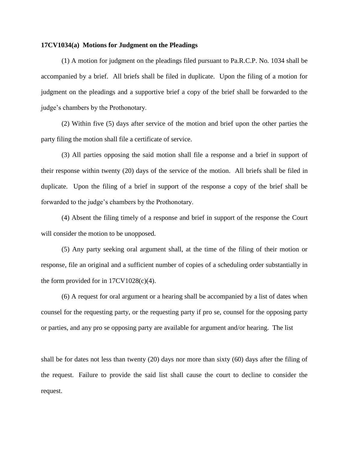#### **17CV1034(a) Motions for Judgment on the Pleadings**

(1) A motion for judgment on the pleadings filed pursuant to Pa.R.C.P. No. 1034 shall be accompanied by a brief. All briefs shall be filed in duplicate. Upon the filing of a motion for judgment on the pleadings and a supportive brief a copy of the brief shall be forwarded to the judge's chambers by the Prothonotary.

(2) Within five (5) days after service of the motion and brief upon the other parties the party filing the motion shall file a certificate of service.

(3) All parties opposing the said motion shall file a response and a brief in support of their response within twenty (20) days of the service of the motion. All briefs shall be filed in duplicate. Upon the filing of a brief in support of the response a copy of the brief shall be forwarded to the judge's chambers by the Prothonotary.

(4) Absent the filing timely of a response and brief in support of the response the Court will consider the motion to be unopposed.

(5) Any party seeking oral argument shall, at the time of the filing of their motion or response, file an original and a sufficient number of copies of a scheduling order substantially in the form provided for in 17CV1028(c)(4).

(6) A request for oral argument or a hearing shall be accompanied by a list of dates when counsel for the requesting party, or the requesting party if pro se, counsel for the opposing party or parties, and any pro se opposing party are available for argument and/or hearing. The list

shall be for dates not less than twenty (20) days nor more than sixty (60) days after the filing of the request. Failure to provide the said list shall cause the court to decline to consider the request.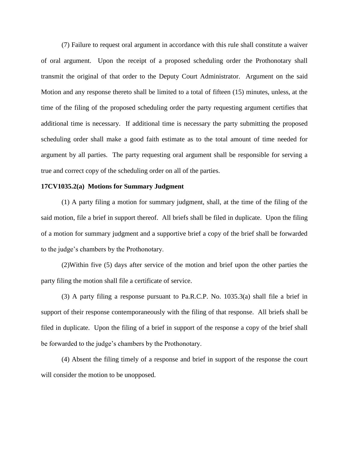(7) Failure to request oral argument in accordance with this rule shall constitute a waiver of oral argument. Upon the receipt of a proposed scheduling order the Prothonotary shall transmit the original of that order to the Deputy Court Administrator. Argument on the said Motion and any response thereto shall be limited to a total of fifteen (15) minutes, unless, at the time of the filing of the proposed scheduling order the party requesting argument certifies that additional time is necessary. If additional time is necessary the party submitting the proposed scheduling order shall make a good faith estimate as to the total amount of time needed for argument by all parties. The party requesting oral argument shall be responsible for serving a true and correct copy of the scheduling order on all of the parties.

#### **17CV1035.2(a) Motions for Summary Judgment**

(1) A party filing a motion for summary judgment, shall, at the time of the filing of the said motion, file a brief in support thereof. All briefs shall be filed in duplicate. Upon the filing of a motion for summary judgment and a supportive brief a copy of the brief shall be forwarded to the judge's chambers by the Prothonotary.

(2)Within five (5) days after service of the motion and brief upon the other parties the party filing the motion shall file a certificate of service.

(3) A party filing a response pursuant to Pa.R.C.P. No. 1035.3(a) shall file a brief in support of their response contemporaneously with the filing of that response. All briefs shall be filed in duplicate. Upon the filing of a brief in support of the response a copy of the brief shall be forwarded to the judge's chambers by the Prothonotary.

(4) Absent the filing timely of a response and brief in support of the response the court will consider the motion to be unopposed.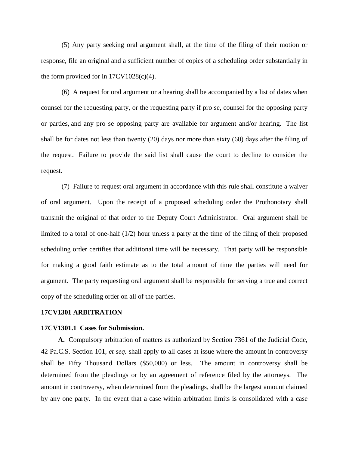(5) Any party seeking oral argument shall, at the time of the filing of their motion or response, file an original and a sufficient number of copies of a scheduling order substantially in the form provided for in 17CV1028(c)(4).

(6) A request for oral argument or a hearing shall be accompanied by a list of dates when counsel for the requesting party, or the requesting party if pro se, counsel for the opposing party or parties, and any pro se opposing party are available for argument and/or hearing. The list shall be for dates not less than twenty (20) days nor more than sixty (60) days after the filing of the request. Failure to provide the said list shall cause the court to decline to consider the request.

(7) Failure to request oral argument in accordance with this rule shall constitute a waiver of oral argument. Upon the receipt of a proposed scheduling order the Prothonotary shall transmit the original of that order to the Deputy Court Administrator. Oral argument shall be limited to a total of one-half (1/2) hour unless a party at the time of the filing of their proposed scheduling order certifies that additional time will be necessary. That party will be responsible for making a good faith estimate as to the total amount of time the parties will need for argument. The party requesting oral argument shall be responsible for serving a true and correct copy of the scheduling order on all of the parties.

#### **17CV1301 ARBITRATION**

#### **17CV1301.1 Cases for Submission.**

 **A.** Compulsory arbitration of matters as authorized by Section 7361 of the Judicial Code, 42 Pa.C.S. Section 101, *et seq.* shall apply to all cases at issue where the amount in controversy shall be Fifty Thousand Dollars (\$50,000) or less. The amount in controversy shall be determined from the pleadings or by an agreement of reference filed by the attorneys. The amount in controversy, when determined from the pleadings, shall be the largest amount claimed by any one party. In the event that a case within arbitration limits is consolidated with a case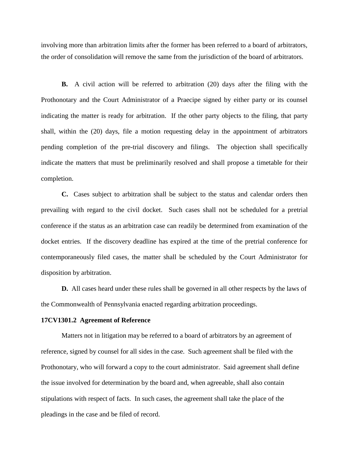involving more than arbitration limits after the former has been referred to a board of arbitrators, the order of consolidation will remove the same from the jurisdiction of the board of arbitrators.

**B.** A civil action will be referred to arbitration (20) days after the filing with the Prothonotary and the Court Administrator of a Praecipe signed by either party or its counsel indicating the matter is ready for arbitration. If the other party objects to the filing, that party shall, within the (20) days, file a motion requesting delay in the appointment of arbitrators pending completion of the pre-trial discovery and filings. The objection shall specifically indicate the matters that must be preliminarily resolved and shall propose a timetable for their completion.

**C.** Cases subject to arbitration shall be subject to the status and calendar orders then prevailing with regard to the civil docket. Such cases shall not be scheduled for a pretrial conference if the status as an arbitration case can readily be determined from examination of the docket entries. If the discovery deadline has expired at the time of the pretrial conference for contemporaneously filed cases, the matter shall be scheduled by the Court Administrator for disposition by arbitration.

**D.** All cases heard under these rules shall be governed in all other respects by the laws of the Commonwealth of Pennsylvania enacted regarding arbitration proceedings.

#### **17CV1301.2 Agreement of Reference**

Matters not in litigation may be referred to a board of arbitrators by an agreement of reference, signed by counsel for all sides in the case. Such agreement shall be filed with the Prothonotary, who will forward a copy to the court administrator. Said agreement shall define the issue involved for determination by the board and, when agreeable, shall also contain stipulations with respect of facts. In such cases, the agreement shall take the place of the pleadings in the case and be filed of record.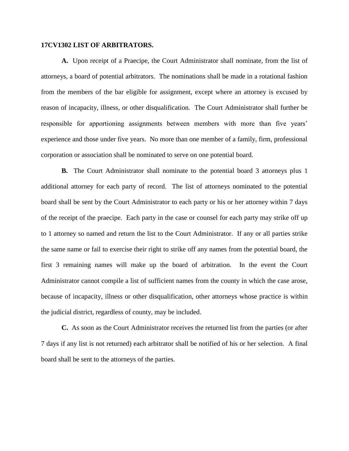#### **17CV1302 LIST OF ARBITRATORS.**

**A.** Upon receipt of a Praecipe, the Court Administrator shall nominate, from the list of attorneys, a board of potential arbitrators. The nominations shall be made in a rotational fashion from the members of the bar eligible for assignment, except where an attorney is excused by reason of incapacity, illness, or other disqualification. The Court Administrator shall further be responsible for apportioning assignments between members with more than five years' experience and those under five years. No more than one member of a family, firm, professional corporation or association shall be nominated to serve on one potential board.

**B.** The Court Administrator shall nominate to the potential board 3 attorneys plus 1 additional attorney for each party of record. The list of attorneys nominated to the potential board shall be sent by the Court Administrator to each party or his or her attorney within 7 days of the receipt of the praecipe. Each party in the case or counsel for each party may strike off up to 1 attorney so named and return the list to the Court Administrator. If any or all parties strike the same name or fail to exercise their right to strike off any names from the potential board, the first 3 remaining names will make up the board of arbitration. In the event the Court Administrator cannot compile a list of sufficient names from the county in which the case arose, because of incapacity, illness or other disqualification, other attorneys whose practice is within the judicial district, regardless of county, may be included.

**C.** As soon as the Court Administrator receives the returned list from the parties (or after 7 days if any list is not returned) each arbitrator shall be notified of his or her selection. A final board shall be sent to the attorneys of the parties.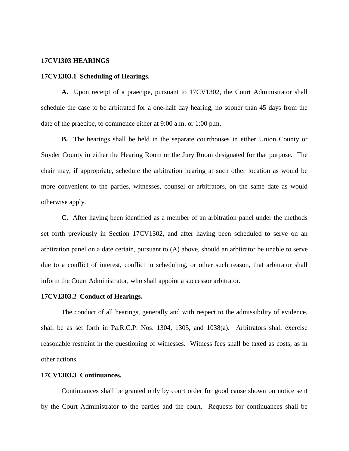#### **17CV1303 HEARINGS**

#### **17CV1303.1 Scheduling of Hearings.**

**A.** Upon receipt of a praecipe, pursuant to 17CV1302, the Court Administrator shall schedule the case to be arbitrated for a one-half day hearing, no sooner than 45 days from the date of the praecipe, to commence either at 9:00 a.m. or 1:00 p.m.

**B.** The hearings shall be held in the separate courthouses in either Union County or Snyder County in either the Hearing Room or the Jury Room designated for that purpose. The chair may, if appropriate, schedule the arbitration hearing at such other location as would be more convenient to the parties, witnesses, counsel or arbitrators, on the same date as would otherwise apply.

**C.** After having been identified as a member of an arbitration panel under the methods set forth previously in Section 17CV1302, and after having been scheduled to serve on an arbitration panel on a date certain, pursuant to (A) above, should an arbitrator be unable to serve due to a conflict of interest, conflict in scheduling, or other such reason, that arbitrator shall inform the Court Administrator, who shall appoint a successor arbitrator.

#### **17CV1303.2 Conduct of Hearings.**

The conduct of all hearings, generally and with respect to the admissibility of evidence, shall be as set forth in Pa.R.C.P. Nos. 1304, 1305, and 1038(a). Arbitrators shall exercise reasonable restraint in the questioning of witnesses. Witness fees shall be taxed as costs, as in other actions.

#### **17CV1303.3 Continuances.**

Continuances shall be granted only by court order for good cause shown on notice sent by the Court Administrator to the parties and the court. Requests for continuances shall be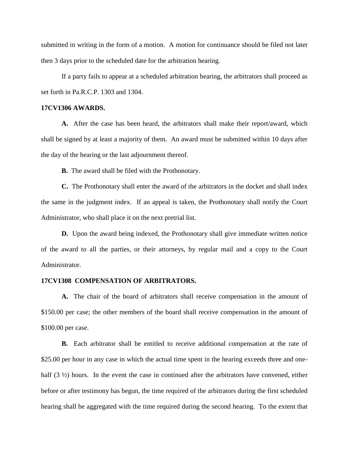submitted in writing in the form of a motion. A motion for continuance should be filed not later then 3 days prior to the scheduled date for the arbitration hearing.

If a party fails to appear at a scheduled arbitration hearing, the arbitrators shall proceed as set forth in Pa.R.C.P. 1303 and 1304.

## **17CV1306 AWARDS.**

**A.** After the case has been heard, the arbitrators shall make their report/award, which shall be signed by at least a majority of them. An award must be submitted within 10 days after the day of the hearing or the last adjournment thereof.

**B.** The award shall be filed with the Prothonotary.

**C.** The Prothonotary shall enter the award of the arbitrators in the docket and shall index the same in the judgment index. If an appeal is taken, the Prothonotary shall notify the Court Administrator, who shall place it on the next pretrial list.

**D.** Upon the award being indexed, the Prothonotary shall give immediate written notice of the award to all the parties, or their attorneys, by regular mail and a copy to the Court Administrator.

#### **17CV1308 COMPENSATION OF ARBITRATORS.**

**A.** The chair of the board of arbitrators shall receive compensation in the amount of \$150.00 per case; the other members of the board shall receive compensation in the amount of \$100.00 per case.

**B.** Each arbitrator shall be entitled to receive additional compensation at the rate of \$25.00 per hour in any case in which the actual time spent in the hearing exceeds three and onehalf (3  $\frac{1}{2}$ ) hours. In the event the case in continued after the arbitrators have convened, either before or after testimony has begun, the time required of the arbitrators during the first scheduled hearing shall be aggregated with the time required during the second hearing. To the extent that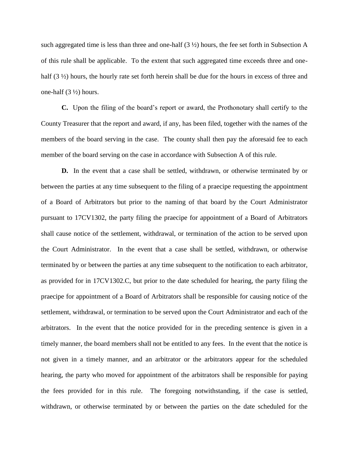such aggregated time is less than three and one-half  $(3 \frac{1}{2})$  hours, the fee set forth in Subsection A of this rule shall be applicable. To the extent that such aggregated time exceeds three and onehalf (3  $\frac{1}{2}$ ) hours, the hourly rate set forth herein shall be due for the hours in excess of three and one-half  $(3 \frac{1}{2})$  hours.

**C.** Upon the filing of the board's report or award, the Prothonotary shall certify to the County Treasurer that the report and award, if any, has been filed, together with the names of the members of the board serving in the case. The county shall then pay the aforesaid fee to each member of the board serving on the case in accordance with Subsection A of this rule.

**D.** In the event that a case shall be settled, withdrawn, or otherwise terminated by or between the parties at any time subsequent to the filing of a praecipe requesting the appointment of a Board of Arbitrators but prior to the naming of that board by the Court Administrator pursuant to 17CV1302, the party filing the praecipe for appointment of a Board of Arbitrators shall cause notice of the settlement, withdrawal, or termination of the action to be served upon the Court Administrator. In the event that a case shall be settled, withdrawn, or otherwise terminated by or between the parties at any time subsequent to the notification to each arbitrator, as provided for in 17CV1302.C, but prior to the date scheduled for hearing, the party filing the praecipe for appointment of a Board of Arbitrators shall be responsible for causing notice of the settlement, withdrawal, or termination to be served upon the Court Administrator and each of the arbitrators. In the event that the notice provided for in the preceding sentence is given in a timely manner, the board members shall not be entitled to any fees. In the event that the notice is not given in a timely manner, and an arbitrator or the arbitrators appear for the scheduled hearing, the party who moved for appointment of the arbitrators shall be responsible for paying the fees provided for in this rule. The foregoing notwithstanding, if the case is settled, withdrawn, or otherwise terminated by or between the parties on the date scheduled for the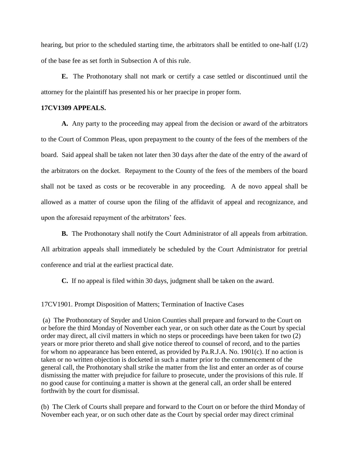hearing, but prior to the scheduled starting time, the arbitrators shall be entitled to one-half  $(1/2)$ of the base fee as set forth in Subsection A of this rule.

**E.** The Prothonotary shall not mark or certify a case settled or discontinued until the attorney for the plaintiff has presented his or her praecipe in proper form.

## **17CV1309 APPEALS.**

**A.** Any party to the proceeding may appeal from the decision or award of the arbitrators to the Court of Common Pleas, upon prepayment to the county of the fees of the members of the board. Said appeal shall be taken not later then 30 days after the date of the entry of the award of the arbitrators on the docket. Repayment to the County of the fees of the members of the board shall not be taxed as costs or be recoverable in any proceeding. A de novo appeal shall be allowed as a matter of course upon the filing of the affidavit of appeal and recognizance, and upon the aforesaid repayment of the arbitrators' fees.

**B.** The Prothonotary shall notify the Court Administrator of all appeals from arbitration. All arbitration appeals shall immediately be scheduled by the Court Administrator for pretrial conference and trial at the earliest practical date.

**C.** If no appeal is filed within 30 days, judgment shall be taken on the award.

17CV1901. Prompt Disposition of Matters; Termination of Inactive Cases

(a) The Prothonotary of Snyder and Union Counties shall prepare and forward to the Court on or before the third Monday of November each year, or on such other date as the Court by special order may direct, all civil matters in which no steps or proceedings have been taken for two (2) years or more prior thereto and shall give notice thereof to counsel of record, and to the parties for whom no appearance has been entered, as provided by Pa.R.J.A. No. 1901(c). If no action is taken or no written objection is docketed in such a matter prior to the commencement of the general call, the Prothonotary shall strike the matter from the list and enter an order as of course dismissing the matter with prejudice for failure to prosecute, under the provisions of this rule. If no good cause for continuing a matter is shown at the general call, an order shall be entered forthwith by the court for dismissal.

(b) The Clerk of Courts shall prepare and forward to the Court on or before the third Monday of November each year, or on such other date as the Court by special order may direct criminal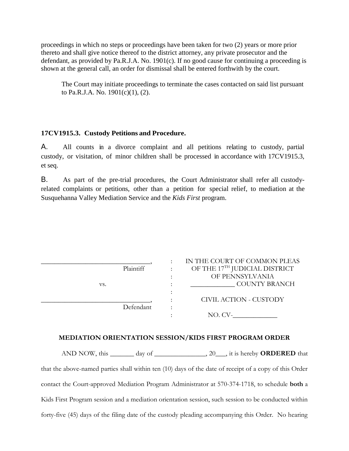proceedings in which no steps or proceedings have been taken for two (2) years or more prior thereto and shall give notice thereof to the district attorney, any private prosecutor and the defendant, as provided by Pa.R.J.A. No. 1901(c). If no good cause for continuing a proceeding is shown at the general call, an order for dismissal shall be entered forthwith by the court.

The Court may initiate proceedings to terminate the cases contacted on said list pursuant to Pa.R.J.A. No. 1901(c)(1), (2).

## **17CV1915.3. Custody Petitions and Procedure.**

A. All counts in a divorce complaint and all petitions relating to custody, partial custody, or visitation, of minor children shall be processed in accordance with 17CV1915.3, et seq.

B. As part of the pre-trial procedures, the Court Administrator shall refer all custodyrelated complaints or petitions, other than a petition for special relief, to mediation at the Susquehanna Valley Mediation Service and the *Kids First* program.

|           | IN THE COURT OF COMMON PLEAS  |
|-----------|-------------------------------|
| Plaintiff | OF THE 17TH JUDICIAL DISTRICT |
|           | OF PENNSYLVANIA               |
| VS.       | <b>COUNTY BRANCH</b>          |
|           |                               |
|           | CIVIL ACTION - CUSTODY        |
| Defendant |                               |
|           | NO. CV-                       |

### **MEDIATION ORIENTATION SESSION/KIDS FIRST PROGRAM ORDER**

AND NOW, this \_\_\_\_\_\_\_ day of \_\_\_\_\_\_\_\_\_\_\_\_\_\_, 20\_\_\_, it is hereby **ORDERED** that that the above-named parties shall within ten (10) days of the date of receipt of a copy of this Order contact the Court-approved Mediation Program Administrator at 570-374-1718, to schedule **both** a Kids First Program session and a mediation orientation session, such session to be conducted within forty-five (45) days of the filing date of the custody pleading accompanying this Order. No hearing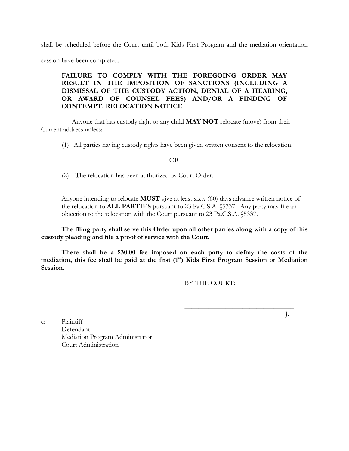shall be scheduled before the Court until both Kids First Program and the mediation orientation session have been completed.

## **FAILURE TO COMPLY WITH THE FOREGOING ORDER MAY RESULT IN THE IMPOSITION OF SANCTIONS (INCLUDING A DISMISSAL OF THE CUSTODY ACTION, DENIAL OF A HEARING, OR AWARD OF COUNSEL FEES) AND/OR A FINDING OF CONTEMPT. RELOCATION NOTICE**

Anyone that has custody right to any child **MAY NOT** relocate (move) from their Current address unless:

(1) All parties having custody rights have been given written consent to the relocation.

OR

(2) The relocation has been authorized by Court Order.

Anyone intending to relocate **MUST** give at least sixty (60) days advance written notice of the relocation to **ALL PARTIES** pursuant to 23 Pa.C.S.A. §5337. Any party may file an objection to the relocation with the Court pursuant to 23 Pa.C.S.A. §5337.

**The filing party shall serve this Order upon all other parties along with a copy of this custody pleading and file a proof of service with the Court.**

**There shall be a \$30.00 fee imposed on each party to defray the costs of the mediation, this fee shall be paid at the first (1st) Kids First Program Session or Mediation Session.**

BY THE COURT:

 $\overline{\phantom{a}}$  , where  $\overline{\phantom{a}}$  , where  $\overline{\phantom{a}}$  , where  $\overline{\phantom{a}}$ 

J.

c: Plaintiff Defendant Mediation Program Administrator Court Administration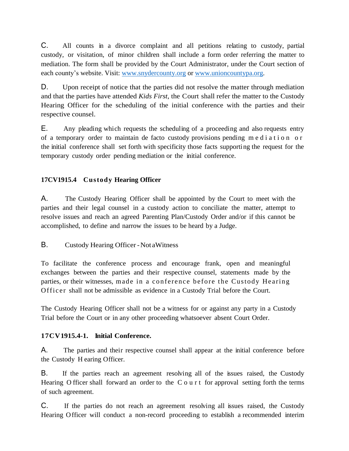C. All counts in a divorce complaint and all petitions relating to custody, partial custody, or visitation, of minor children shall include a form order referring the matter to mediation. The form shall be provided by the Court Administrator, under the Court section of each county's website. Visit: [www.snydercounty.org](http://www.snydercounty.org/) or [www.unioncountypa.org.](http://www.unioncountypa.org/)

D. Upon receipt of notice that the parties did not resolve the matter through mediation and that the parties have attended *Kids First*, the Court shall refer the matter to the Custody Hearing Officer for the scheduling of the initial conference with the parties and their respective counsel.

E. Any pleading which requests the scheduling of a proceeding and also requests entry of a temporary order to maintain de facto custody provisions pending m e d i a t i o n o r the initial conference shall set forth with specificity those facts supporting the request for the temporary custody order pending mediation or the initial conference.

# **17CV1915.4 Custody Hearing Officer**

A. The Custody Hearing Officer shall be appointed by the Court to meet with the parties and their legal counsel in a custody action to conciliate the matter, attempt to resolve issues and reach an agreed Parenting Plan/Custody Order and/or if this cannot be accomplished, to define and narrow the issues to be heard by a Judge.

# B. Custody Hearing Officer - Not a Witness

To facilitate the conference process and encourage frank, open and meaningful exchanges between the parties and their respective counsel, statements made by the parties, or their witnesses, made in a conference before the Custody Hearing Offic er shall not be admissible as evidence in a Custody Trial before the Court.

The Custody Hearing Officer shall not be a witness for or against any party in a Custody Trial before the Court or in any other proceeding whatsoever absent Court Order.

# **17CV1915.4-1. Initial Conference.**

A. The parties and their respective counsel shall appear at the initial conference before the Custody H earing Officer.

B. If the parties reach an agreement resolving all of the issues raised, the Custody Hearing O fficer shall forward an order to the C o u r t for approval setting forth the terms of such agreement.

C. If the parties do not reach an agreement resolving all issues raised, the Custody Hearing Officer will conduct a non-record proceeding to establish a recommended interim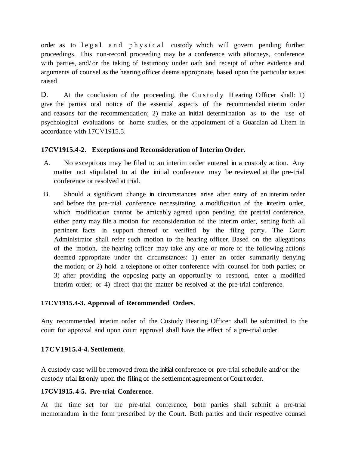order as to legal and physical custody which will govern pending further proceedings. This non-record proceeding may be a conference with attorneys, conference with parties, and/ or the taking of testimony under oath and receipt of other evidence and arguments of counsel as the hearing officer deems appropriate, based upon the particular issues raised.

D. At the conclusion of the proceeding, the C u s t o d y  $\overline{H}$  earing Officer shall: 1) give the parties oral notice of the essential aspects of the recommended interim order and reasons for the recommendation; 2) make an initial determination as to the use of psychological evaluations or home studies, or the appointment of a Guardian ad Litem in accordance with 17CV1915.5.

## **17CV1915.4-2. Exceptions and Reconsideration of Interim Order.**

- A. No exceptions may be filed to an interim order entered in a custody action. Any matter not stipulated to at the initial conference may be reviewed at the pre-trial conference or resolved at trial.
- B. Should a significant change in circumstances arise after entry of an interim order and before the pre-trial conference necessitating a modification of the interim order, which modification cannot be amicably agreed upon pending the pretrial conference, either party may file a motion for reconsideration of the interim order, setting forth all pertinent facts in support thereof or verified by the filing party. The Court Administrator shall refer such motion to the hearing officer. Based on the allegations of the motion, the hearing officer may take any one or more of the following actions deemed appropriate under the circumstances: 1) enter an order summarily denying the motion; or 2) hold a telephone or other conference with counsel for both parties; or 3) after providing the opposing party an opportunity to respond, enter a modified interim order; or 4) direct that the matter be resolved at the pre-trial conference.

# **17CV1915.4-3. Approval of Recommended Orders**.

Any recommended interim order of the Custody Hearing Officer shall be submitted to the court for approval and upon court approval shall have the effect of a pre-trial order.

## **17CV1915.4-4. Settlement**.

A custody case will be removed from the initial conference or pre-trial schedule and/or the custody trial list only upon the filing of the settlement agreement orCourt order.

## **17CV1915. 4-5. Pre-trial Conference**.

At the time set for the pre-trial conference, both parties shall submit a pre-trial memorandum in the form prescribed by the Court. Both parties and their respective counsel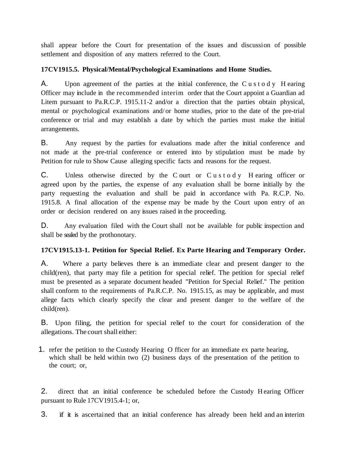shall appear before the Court for presentation of the issues and discussion of possible settlement and disposition of any matters referred to the Court.

# **17CV1915.5. Physical/Mental/Psychological Examinations and Home Studies.**

A. Upon agreement of the parties at the initial conference, the C u s t o d y H earing Officer may include in the recommended interim order that the Court appoint a Guardian ad Litem pursuant to Pa.R.C.P. 1915.11-2 and/or a direction that the parties obtain physical, mental or psychological examinations and/ or home studies, prior to the date of the pre-trial conference or trial and may establish a date by which the parties must make the initial arrangements.

B. Any request by the parties for evaluations made after the initial conference and not made at the pre-trial conference or entered into by stipulation must be made by Petition for rule to Show Cause alleging specific facts and reasons for the request.

C. Unless otherwise directed by the C ourt or C u s t o d y H earing officer or agreed upon by the parties, the expense of any evaluation shall be borne initially by the party requesting the evaluation and shall be paid in accordance with Pa. R.C.P. No. 1915.8. A final allocation of the expense may be made by the Court upon entry of an order or decision rendered on any issues raised in the proceeding.

D. Any evaluation filed with the Court shall not be available for public inspection and shall be sealed by the prothonotary.

# **17CV1915.13-1. Petition for Special Relief. Ex Parte Hearing and Temporary Order.**

A. Where a party believes there is an immediate clear and present danger to the child(ren), that party may file a petition for special relief. The petition for special relief must be presented as a separate document headed "Petition for Special Relief." The petition shall conform to the requirements of Pa.R.C.P. No. 1915.15, as may be applicable, and must allege facts which clearly specify the clear and present danger to the welfare of the child(ren).

B. Upon filing, the petition for special relief to the court for consideration of the allegations. The court shall either:

1. refer the petition to the Custody Hearing O fficer for an immediate ex parte hearing, which shall be held within two (2) business days of the presentation of the petition to the court; or,

2. direct that an initial conference be scheduled before the Custody Hearing Officer pursuant to Rule 17CV1915.4-1; or,

3. if it is ascertained that an initial conference has already been held and an interim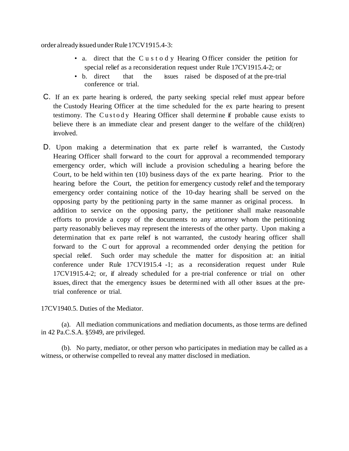order already issued under Rule 17CV1915.4-3:

- a. direct that the C u s t o d y Hearing O fficer consider the petition for special relief as a reconsideration request under Rule 17CV1915.4-2; or
- b. direct that the issues raised be disposed of at the pre-trial conference or trial.
- C. If an ex parte hearing is ordered, the party seeking special relief must appear before the Custody Hearing Officer at the time scheduled for the ex parte hearing to present testimony. The Custody Hearing Officer shall determine if probable cause exists to believe there is an immediate clear and present danger to the welfare of the child(ren) involved.
- D. Upon making a determination that ex parte relief is warranted, the Custody Hearing Officer shall forward to the court for approval a recommended temporary emergency order, which will include a provision scheduling a hearing before the Court, to be held within ten (10) business days of the ex parte hearing. Prior to the hearing before the Court, the petition for emergency custody relief and the temporary emergency order containing notice of the 10-day hearing shall be served on the opposing party by the petitioning party in the same manner as original process. In addition to service on the opposing party, the petitioner shall make reasonable efforts to provide a copy of the documents to any attorney whom the petitioning party reasonably believes may represent the interests of the other party. Upon making a determination that ex parte relief is not warranted, the custody hearing officer shall forward to the C ourt for approval a recommended order denying the petition for special relief. Such order may schedule the matter for disposition at: an initial conference under Rule 17CV1915.4 -1; as a reconsideration request under Rule 17CV1915.4-2; or, if already scheduled for a pre-trial conference or trial on other issues, direct that the emergency issues be determined with all other issues at the pretrial conference or trial.

17CV1940.5. Duties of the Mediator.

(a). All mediation communications and mediation documents, as those terms are defined in 42 Pa.C.S.A. §5949, are privileged.

(b). No party, mediator, or other person who participates in mediation may be called as a witness, or otherwise compelled to reveal any matter disclosed in mediation.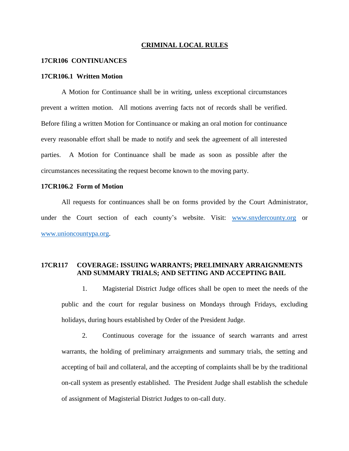#### **CRIMINAL LOCAL RULES**

#### **17CR106 CONTINUANCES**

#### **17CR106.1 Written Motion**

A Motion for Continuance shall be in writing, unless exceptional circumstances prevent a written motion. All motions averring facts not of records shall be verified. Before filing a written Motion for Continuance or making an oral motion for continuance every reasonable effort shall be made to notify and seek the agreement of all interested parties. A Motion for Continuance shall be made as soon as possible after the circumstances necessitating the request become known to the moving party.

#### **17CR106.2 Form of Motion**

All requests for continuances shall be on forms provided by the Court Administrator, under the Court section of each county's website. Visit: [www.snydercounty.org](http://www.snydercounty.org/) or [www.unioncountypa.org.](http://www.unioncountypa.org/)

### **17CR117 COVERAGE: ISSUING WARRANTS; PRELIMINARY ARRAIGNMENTS AND SUMMARY TRIALS; AND SETTING AND ACCEPTING BAIL**

1. Magisterial District Judge offices shall be open to meet the needs of the public and the court for regular business on Mondays through Fridays, excluding holidays, during hours established by Order of the President Judge.

2. Continuous coverage for the issuance of search warrants and arrest warrants, the holding of preliminary arraignments and summary trials, the setting and accepting of bail and collateral, and the accepting of complaints shall be by the traditional on-call system as presently established. The President Judge shall establish the schedule of assignment of Magisterial District Judges to on-call duty.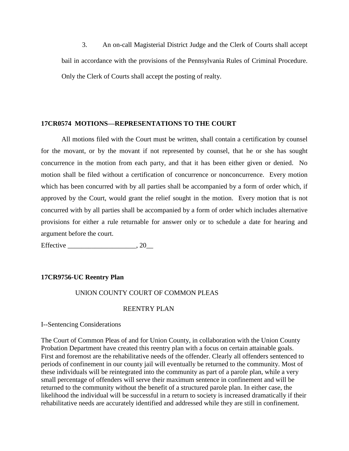3. An on-call Magisterial District Judge and the Clerk of Courts shall accept bail in accordance with the provisions of the Pennsylvania Rules of Criminal Procedure. Only the Clerk of Courts shall accept the posting of realty.

## **17CR0574 MOTIONS—REPRESENTATIONS TO THE COURT**

All motions filed with the Court must be written, shall contain a certification by counsel for the movant, or by the movant if not represented by counsel, that he or she has sought concurrence in the motion from each party, and that it has been either given or denied. No motion shall be filed without a certification of concurrence or nonconcurrence. Every motion which has been concurred with by all parties shall be accompanied by a form of order which, if approved by the Court, would grant the relief sought in the motion. Every motion that is not concurred with by all parties shall be accompanied by a form of order which includes alternative provisions for either a rule returnable for answer only or to schedule a date for hearing and argument before the court.

Effective \_\_\_\_\_\_\_\_\_\_\_\_\_\_\_\_\_\_\_\_, 20\_\_

## **17CR9756-UC Reentry Plan**

# UNION COUNTY COURT OF COMMON PLEAS

### REENTRY PLAN

#### I--Sentencing Considerations

The Court of Common Pleas of and for Union County, in collaboration with the Union County Probation Department have created this reentry plan with a focus on certain attainable goals. First and foremost are the rehabilitative needs of the offender. Clearly all offenders sentenced to periods of confinement in our county jail will eventually be returned to the community. Most of these individuals will be reintegrated into the community as part of a parole plan, while a very small percentage of offenders will serve their maximum sentence in confinement and will be returned to the community without the benefit of a structured parole plan. In either case, the likelihood the individual will be successful in a return to society is increased dramatically if their rehabilitative needs are accurately identified and addressed while they are still in confinement.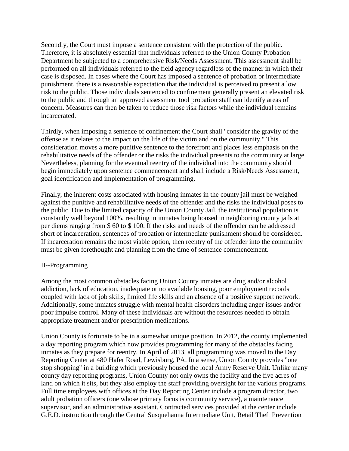Secondly, the Court must impose a sentence consistent with the protection of the public. Therefore, it is absolutely essential that individuals referred to the Union County Probation Department be subjected to a comprehensive Risk/Needs Assessment. This assessment shall be performed on all individuals referred to the field agency regardless of the manner in which their case is disposed. In cases where the Court has imposed a sentence of probation or intermediate punishment, there is a reasonable expectation that the individual is perceived to present a low risk to the public. Those individuals sentenced to confinement generally present an elevated risk to the public and through an approved assessment tool probation staff can identify areas of concern. Measures can then be taken to reduce those risk factors while the individual remains incarcerated.

Thirdly, when imposing a sentence of confinement the Court shall "consider the gravity of the offense as it relates to the impact on the life of the victim and on the community." This consideration moves a more punitive sentence to the forefront and places less emphasis on the rehabilitative needs of the offender or the risks the individual presents to the community at large. Nevertheless, planning for the eventual reentry of the individual into the community should begin immediately upon sentence commencement and shall include a Risk/Needs Assessment, goal identification and implementation of programming.

Finally, the inherent costs associated with housing inmates in the county jail must be weighed against the punitive and rehabilitative needs of the offender and the risks the individual poses to the public. Due to the limited capacity of the Union County Jail, the institutional population is constantly well beyond 100%, resulting in inmates being housed in neighboring county jails at per diems ranging from \$ 60 to \$ 100. If the risks and needs of the offender can be addressed short of incarceration, sentences of probation or intermediate punishment should be considered. If incarceration remains the most viable option, then reentry of the offender into the community must be given forethought and planning from the time of sentence commencement.

## II--Programming

Among the most common obstacles facing Union County inmates are drug and/or alcohol addiction, lack of education, inadequate or no available housing, poor employment records coupled with lack of job skills, limited life skills and an absence of a positive support network. Additionally, some inmates struggle with mental health disorders including anger issues and/or poor impulse control. Many of these individuals are without the resources needed to obtain appropriate treatment and/or prescription medications.

Union County is fortunate to be in a somewhat unique position. In 2012, the county implemented a day reporting program which now provides programming for many of the obstacles facing inmates as they prepare for reentry. In April of 2013, all programming was moved to the Day Reporting Center at 480 Hafer Road, Lewisburg, PA. In a sense, Union County provides "one stop shopping" in a building which previously housed the local Army Reserve Unit. Unlike many county day reporting programs, Union County not only owns the facility and the five acres of land on which it sits, but they also employ the staff providing oversight for the various programs. Full time employees with offices at the Day Reporting Center include a program director, two adult probation officers (one whose primary focus is community service), a maintenance supervisor, and an administrative assistant. Contracted services provided at the center include G.E.D. instruction through the Central Susquehanna Intermediate Unit, Retail Theft Prevention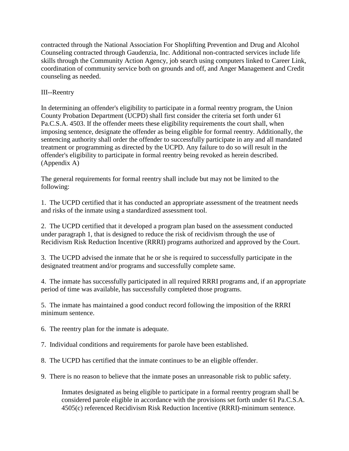contracted through the National Association For Shoplifting Prevention and Drug and Alcohol Counseling contracted through Gaudenzia, Inc. Additional non-contracted services include life skills through the Community Action Agency, job search using computers linked to Career Link, coordination of community service both on grounds and off, and Anger Management and Credit counseling as needed.

# III--Reentry

In determining an offender's eligibility to participate in a formal reentry program, the Union County Probation Department (UCPD) shall first consider the criteria set forth under 61 Pa.C.S.A. 4503. If the offender meets these eligibility requirements the court shall, when imposing sentence, designate the offender as being eligible for formal reentry. Additionally, the sentencing authority shall order the offender to successfully participate in any and all mandated treatment or programming as directed by the UCPD. Any failure to do so will result in the offender's eligibility to participate in formal reentry being revoked as herein described. (Appendix A)

The general requirements for formal reentry shall include but may not be limited to the following:

1. The UCPD certified that it has conducted an appropriate assessment of the treatment needs and risks of the inmate using a standardized assessment tool.

2. The UCPD certified that it developed a program plan based on the assessment conducted under paragraph 1, that is designed to reduce the risk of recidivism through the use of Recidivism Risk Reduction Incentive (RRRI) programs authorized and approved by the Court.

3. The UCPD advised the inmate that he or she is required to successfully participate in the designated treatment and/or programs and successfully complete same.

4. The inmate has successfully participated in all required RRRI programs and, if an appropriate period of time was available, has successfully completed those programs.

5. The inmate has maintained a good conduct record following the imposition of the RRRI minimum sentence.

6. The reentry plan for the inmate is adequate.

7. Individual conditions and requirements for parole have been established.

8. The UCPD has certified that the inmate continues to be an eligible offender.

9. There is no reason to believe that the inmate poses an unreasonable risk to public safety.

Inmates designated as being eligible to participate in a formal reentry program shall be considered parole eligible in accordance with the provisions set forth under 61 Pa.C.S.A. 4505(c) referenced Recidivism Risk Reduction Incentive (RRRI)-minimum sentence.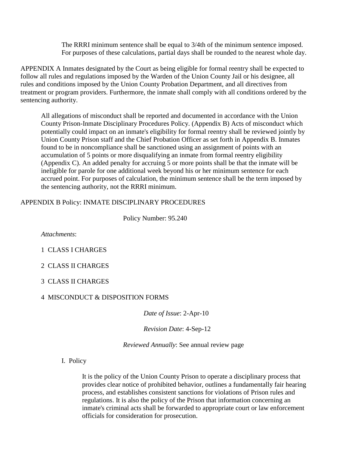The RRRI minimum sentence shall be equal to 3/4th of the minimum sentence imposed. For purposes of these calculations, partial days shall be rounded to the nearest whole day.

APPENDIX A Inmates designated by the Court as being eligible for formal reentry shall be expected to follow all rules and regulations imposed by the Warden of the Union County Jail or his designee, all rules and conditions imposed by the Union County Probation Department, and all directives from treatment or program providers. Furthermore, the inmate shall comply with all conditions ordered by the sentencing authority.

All allegations of misconduct shall be reported and documented in accordance with the Union County Prison-Inmate Disciplinary Procedures Policy. (Appendix B) Acts of misconduct which potentially could impact on an inmate's eligibility for formal reentry shall be reviewed jointly by Union County Prison staff and the Chief Probation Officer as set forth in Appendix B. Inmates found to be in noncompliance shall be sanctioned using an assignment of points with an accumulation of 5 points or more disqualifying an inmate from formal reentry eligibility (Appendix C). An added penalty for accruing 5 or more points shall be that the inmate will be ineligible for parole for one additional week beyond his or her minimum sentence for each accrued point. For purposes of calculation, the minimum sentence shall be the term imposed by the sentencing authority, not the RRRI minimum.

## APPENDIX B Policy: INMATE DISCIPLINARY PROCEDURES

Policy Number: 95.240

*Attachments*:

1 CLASS I CHARGES

2 CLASS II CHARGES

3 CLASS II CHARGES

# 4 MISCONDUCT & DISPOSITION FORMS

*Date of Issue*: 2-Apr-10

*Revision Date*: 4-Sep-12

*Reviewed Annually*: See annual review page

I. Policy

It is the policy of the Union County Prison to operate a disciplinary process that provides clear notice of prohibited behavior, outlines a fundamentally fair hearing process, and establishes consistent sanctions for violations of Prison rules and regulations. It is also the policy of the Prison that information concerning an inmate's criminal acts shall be forwarded to appropriate court or law enforcement officials for consideration for prosecution.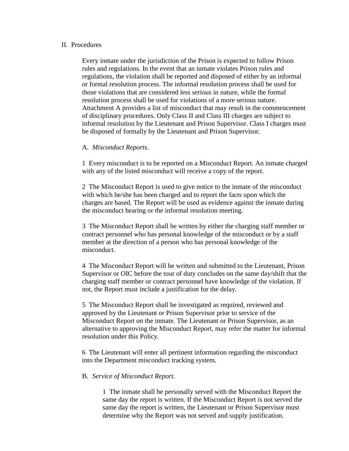#### II. Procedures

Every inmate under the jurisdiction of the Prison is expected to follow Prison rules and regulations. In the event that an inmate violates Prison rules and regulations, the violation shall be reported and disposed of either by an informal or formal resolution process. The informal resolution process shall be used for those violations that are considered less serious in nature, while the formal resolution process shall be used for violations of a more serious nature. Attachment A provides a list of misconduct that may result in the commencement of disciplinary procedures. Only Class II and Class III charges are subject to informal resolution by the Lieutenant and Prison Supervisor. Class I charges must be disposed of formally by the Lieutenant and Prison Supervisor.

#### A. *Misconduct Reports.*

1 Every misconduct is to be reported on a Misconduct Report. An inmate charged with any of the listed misconduct will receive a copy of the report.

2 The Misconduct Report is used to give notice to the inmate of the misconduct with which he/she has been charged and to report the facts upon which the charges are based. The Report will be used as evidence against the inmate during the misconduct hearing or the informal resolution meeting.

3 The Misconduct Report shall be written by either the charging staff member or contract personnel who has personal knowledge of the misconduct or by a staff member at the direction of a person who has personal knowledge of the misconduct.

4 The Misconduct Report will be written and submitted to the Lieutenant, Prison Supervisor or OIC before the tour of duty concludes on the same day/shift that the charging staff member or contract personnel have knowledge of the violation. If not, the Report must include a justification for the delay.

5 The Misconduct Report shall be investigated as required, reviewed and approved by the Lieutenant or Prison Supervisor prior to service of the Misconduct Report on the inmate. The Lieutenant or Prison Supervisor, as an alternative to approving the Misconduct Report, may refer the matter for informal resolution under this Policy.

6 The Lieutenant will enter all pertinent information regarding the misconduct into the Department misconduct tracking system.

#### B. *Service of Misconduct Report.*

1 The inmate shall be personally served with the Misconduct Report the same day the report is written. If the Misconduct Report is not served the same day the report is written, the Lieutenant or Prison Supervisor must determine why the Report was not served and supply justification.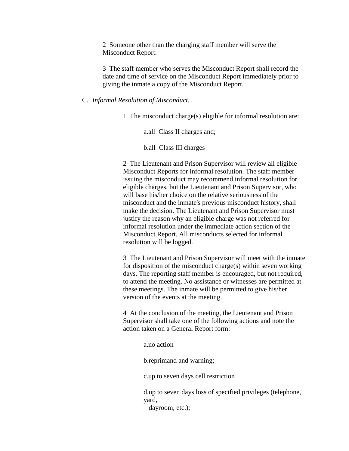2 Someone other than the charging staff member will serve the Misconduct Report.

3 The staff member who serves the Misconduct Report shall record the date and time of service on the Misconduct Report immediately prior to giving the inmate a copy of the Misconduct Report.

### C. *Informal Resolution of Misconduct.*

1 The misconduct charge(s) eligible for informal resolution are:

a.all Class II charges and;

b.all Class III charges

2 The Lieutenant and Prison Supervisor will review all eligible Misconduct Reports for informal resolution. The staff member issuing the misconduct may recommend informal resolution for eligible charges, but the Lieutenant and Prison Supervisor, who will base his/her choice on the relative seriousness of the misconduct and the inmate's previous misconduct history, shall make the decision. The Lieutenant and Prison Supervisor must justify the reason why an eligible charge was not referred for informal resolution under the immediate action section of the Misconduct Report. All misconducts selected for informal resolution will be logged.

3 The Lieutenant and Prison Supervisor will meet with the inmate for disposition of the misconduct charge(s) within seven working days. The reporting staff member is encouraged, but not required, to attend the meeting. No assistance or witnesses are permitted at these meetings. The inmate will be permitted to give his/her version of the events at the meeting.

4 At the conclusion of the meeting, the Lieutenant and Prison Supervisor shall take one of the following actions and note the action taken on a General Report form:

### a.no action

b.reprimand and warning;

c.up to seven days cell restriction

d.up to seven days loss of specified privileges (telephone, yard,

dayroom, etc.);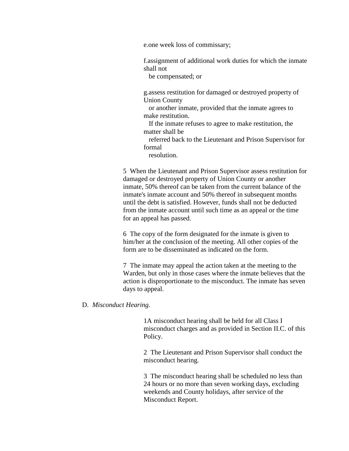e.one week loss of commissary;

f.assignment of additional work duties for which the inmate shall not

be compensated; or

g.assess restitution for damaged or destroyed property of Union County

 or another inmate, provided that the inmate agrees to make restitution.

 If the inmate refuses to agree to make restitution, the matter shall be

 referred back to the Lieutenant and Prison Supervisor for formal

resolution.

5 When the Lieutenant and Prison Supervisor assess restitution for damaged or destroyed property of Union County or another inmate, 50% thereof can be taken from the current balance of the inmate's inmate account and 50% thereof in subsequent months until the debt is satisfied. However, funds shall not be deducted from the inmate account until such time as an appeal or the time for an appeal has passed.

6 The copy of the form designated for the inmate is given to him/her at the conclusion of the meeting. All other copies of the form are to be disseminated as indicated on the form.

7 The inmate may appeal the action taken at the meeting to the Warden, but only in those cases where the inmate believes that the action is disproportionate to the misconduct. The inmate has seven days to appeal.

#### D. *Misconduct Hearing.*

1A misconduct hearing shall be held for all Class I misconduct charges and as provided in Section II.C. of this Policy.

2 The Lieutenant and Prison Supervisor shall conduct the misconduct hearing.

3 The misconduct hearing shall be scheduled no less than 24 hours or no more than seven working days, excluding weekends and County holidays, after service of the Misconduct Report.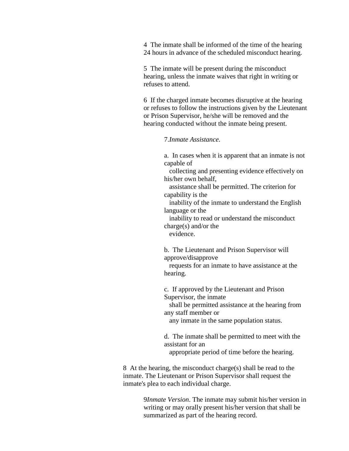4 The inmate shall be informed of the time of the hearing 24 hours in advance of the scheduled misconduct hearing.

5 The inmate will be present during the misconduct hearing, unless the inmate waives that right in writing or refuses to attend.

6 If the charged inmate becomes disruptive at the hearing or refuses to follow the instructions given by the Lieutenant or Prison Supervisor, he/she will be removed and the hearing conducted without the inmate being present.

### 7.*Inmate Assistance.*

a. In cases when it is apparent that an inmate is not capable of

 collecting and presenting evidence effectively on his/her own behalf,

 assistance shall be permitted. The criterion for capability is the

 inability of the inmate to understand the English language or the

 inability to read or understand the misconduct charge(s) and/or the

evidence.

b. The Lieutenant and Prison Supervisor will approve/disapprove

 requests for an inmate to have assistance at the hearing.

c. If approved by the Lieutenant and Prison Supervisor, the inmate

 shall be permitted assistance at the hearing from any staff member or

any inmate in the same population status.

d. The inmate shall be permitted to meet with the assistant for an appropriate period of time before the hearing.

8 At the hearing, the misconduct charge(s) shall be read to the inmate. The Lieutenant or Prison Supervisor shall request the inmate's plea to each individual charge.

> 9*Inmate Version*. The inmate may submit his/her version in writing or may orally present his/her version that shall be summarized as part of the hearing record.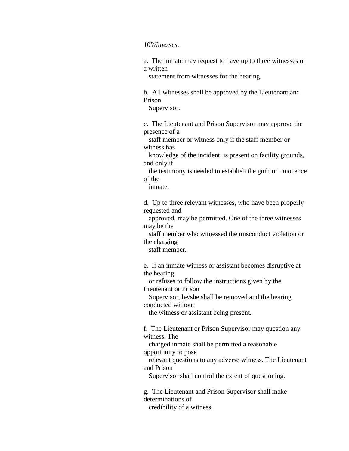10*Witnesses*.

a. The inmate may request to have up to three witnesses or a written

statement from witnesses for the hearing.

b. All witnesses shall be approved by the Lieutenant and Prison

Supervisor.

c. The Lieutenant and Prison Supervisor may approve the presence of a

 staff member or witness only if the staff member or witness has

 knowledge of the incident, is present on facility grounds, and only if

 the testimony is needed to establish the guilt or innocence of the

inmate.

d. Up to three relevant witnesses, who have been properly requested and

 approved, may be permitted. One of the three witnesses may be the

 staff member who witnessed the misconduct violation or the charging

staff member.

e. If an inmate witness or assistant becomes disruptive at the hearing

 or refuses to follow the instructions given by the Lieutenant or Prison

 Supervisor, he/she shall be removed and the hearing conducted without

the witness or assistant being present.

f. The Lieutenant or Prison Supervisor may question any witness. The

 charged inmate shall be permitted a reasonable opportunity to pose

 relevant questions to any adverse witness. The Lieutenant and Prison

Supervisor shall control the extent of questioning.

g. The Lieutenant and Prison Supervisor shall make determinations of credibility of a witness.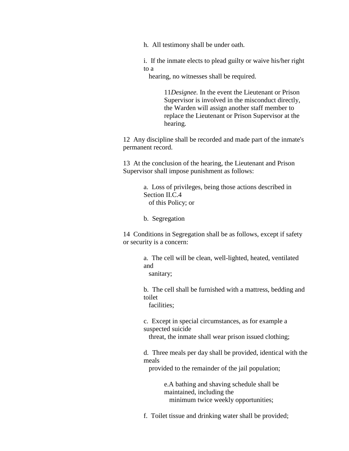h. All testimony shall be under oath.

i. If the inmate elects to plead guilty or waive his/her right to a

hearing, no witnesses shall be required.

11*Designee.* In the event the Lieutenant or Prison Supervisor is involved in the misconduct directly, the Warden will assign another staff member to replace the Lieutenant or Prison Supervisor at the hearing.

12 Any discipline shall be recorded and made part of the inmate's permanent record.

13 At the conclusion of the hearing, the Lieutenant and Prison Supervisor shall impose punishment as follows:

> a. Loss of privileges, being those actions described in Section II.C.4 of this Policy; or

b. Segregation

14 Conditions in Segregation shall be as follows, except if safety or security is a concern:

> a. The cell will be clean, well-lighted, heated, ventilated and

sanitary;

b. The cell shall be furnished with a mattress, bedding and toilet

facilities;

c. Except in special circumstances, as for example a suspected suicide

threat, the inmate shall wear prison issued clothing;

d. Three meals per day shall be provided, identical with the meals

provided to the remainder of the jail population;

e.A bathing and shaving schedule shall be maintained, including the minimum twice weekly opportunities;

f. Toilet tissue and drinking water shall be provided;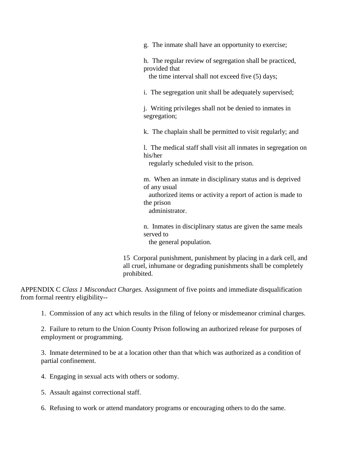g. The inmate shall have an opportunity to exercise; h. The regular review of segregation shall be practiced, provided that the time interval shall not exceed five (5) days; i. The segregation unit shall be adequately supervised; j. Writing privileges shall not be denied to inmates in segregation; k. The chaplain shall be permitted to visit regularly; and l. The medical staff shall visit all inmates in segregation on his/her regularly scheduled visit to the prison. m. When an inmate in disciplinary status and is deprived of any usual authorized items or activity a report of action is made to the prison administrator.

n. Inmates in disciplinary status are given the same meals served to the general population.

15 Corporal punishment, punishment by placing in a dark cell, and all cruel, inhumane or degrading punishments shall be completely prohibited.

APPENDIX C *Class 1 Misconduct Charges.* Assignment of five points and immediate disqualification from formal reentry eligibility--

1. Commission of any act which results in the filing of felony or misdemeanor criminal charges.

2. Failure to return to the Union County Prison following an authorized release for purposes of employment or programming.

3. Inmate determined to be at a location other than that which was authorized as a condition of partial confinement.

4. Engaging in sexual acts with others or sodomy.

5. Assault against correctional staff.

6. Refusing to work or attend mandatory programs or encouraging others to do the same.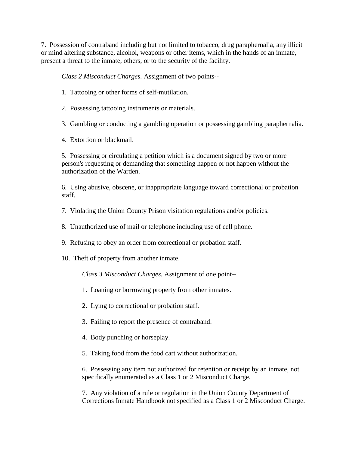7. Possession of contraband including but not limited to tobacco, drug paraphernalia, any illicit or mind altering substance, alcohol, weapons or other items, which in the hands of an inmate, present a threat to the inmate, others, or to the security of the facility.

*Class 2 Misconduct Charges.* Assignment of two points--

- 1. Tattooing or other forms of self-mutilation.
- 2. Possessing tattooing instruments or materials.
- 3. Gambling or conducting a gambling operation or possessing gambling paraphernalia.
- 4. Extortion or blackmail.

5. Possessing or circulating a petition which is a document signed by two or more person's requesting or demanding that something happen or not happen without the authorization of the Warden.

6. Using abusive, obscene, or inappropriate language toward correctional or probation staff.

- 7. Violating the Union County Prison visitation regulations and/or policies.
- 8. Unauthorized use of mail or telephone including use of cell phone.
- 9. Refusing to obey an order from correctional or probation staff.
- 10. Theft of property from another inmate.

*Class 3 Misconduct Charges.* Assignment of one point--

- 1. Loaning or borrowing property from other inmates.
- 2. Lying to correctional or probation staff.
- 3. Failing to report the presence of contraband.
- 4. Body punching or horseplay.
- 5. Taking food from the food cart without authorization.

6. Possessing any item not authorized for retention or receipt by an inmate, not specifically enumerated as a Class 1 or 2 Misconduct Charge.

7. Any violation of a rule or regulation in the Union County Department of Corrections Inmate Handbook not specified as a Class 1 or 2 Misconduct Charge.